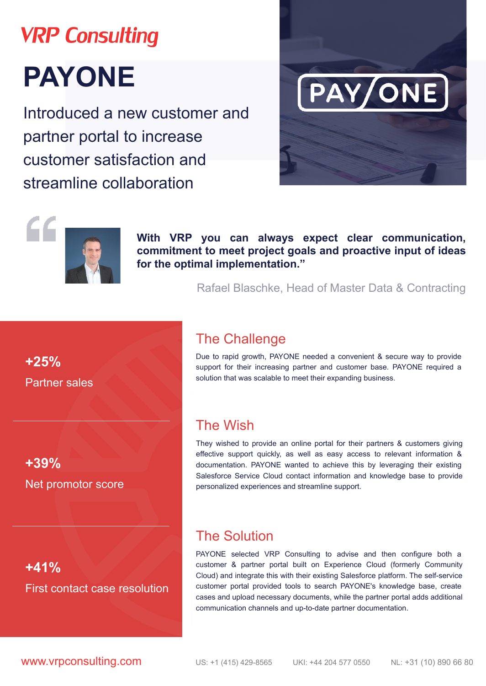# **VRP Consulting PAYONE**

Introduced a new customer and partner portal to increase customer satisfaction and streamline collaboration





**With VRP you can always expect clear communication, commitment to meet project goals and proactive input of ideas for the optimal implementation."** 

Rafael Blaschke, Head of Master Data & Contracting

### The Сhallenge

Due to rapid growth, PAYONE needed a convenient & secure way to provide support for their increasing partner and customer base. PAYONE required a solution that was scalable to meet their expanding business.

### The Wish

They wished to provide an online portal for their partners & customers giving effective support quickly, as well as easy access to relevant information & documentation. PAYONE wanted to achieve this by leveraging their existing Salesforce Service Cloud contact information and knowledge base to provide personalized experiences and streamline support.

### The Solution

PAYONE selected VRP Consulting to advise and then configure both a customer & partner portal built on Experience Cloud (formerly Community Cloud) and integrate this with their existing Salesforce platform. The self-service customer portal provided tools to search PAYONE's knowledge base, create cases and upload necessary documents, while the partner portal adds additional communication channels and up-to-date partner documentation.

**www.vrpconsulting.com** US: +1 (415) 429-8565 UKI: +44 204 577 0550 NL: +31 (10) 890 66 80

**+25%** Partner sales

**+39%**  Net promotor score

### **+41%**

### First contact case resolution